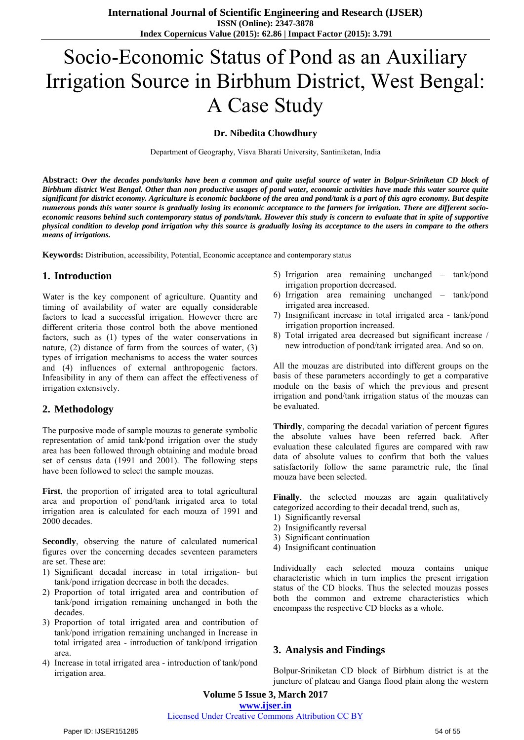# Socio-Economic Status of Pond as an Auxiliary Irrigation Source in Birbhum District, West Bengal: A Case Study

#### **Dr. Nibedita Chowdhury**

Department of Geography, Visva Bharati University, Santiniketan, India

**Abstract:** *Over the decades ponds/tanks have been a common and quite useful source of water in Bolpur-Sriniketan CD block of Birbhum district West Bengal. Other than non productive usages of pond water, economic activities have made this water source quite significant for district economy. Agriculture is economic backbone of the area and pond/tank is a part of this agro economy. But despite numerous ponds this water source is gradually losing its economic acceptance to the farmers for irrigation. There are different socioeconomic reasons behind such contemporary status of ponds/tank. However this study is concern to evaluate that in spite of supportive physical condition to develop pond irrigation why this source is gradually losing its acceptance to the users in compare to the others means of irrigations.*

**Keywords:** Distribution, accessibility, Potential, Economic acceptance and contemporary status

#### **1. Introduction**

Water is the key component of agriculture. Quantity and timing of availability of water are equally considerable factors to lead a successful irrigation. However there are different criteria those control both the above mentioned factors, such as (1) types of the water conservations in nature, (2) distance of farm from the sources of water, (3) types of irrigation mechanisms to access the water sources and (4) influences of external anthropogenic factors. Infeasibility in any of them can affect the effectiveness of irrigation extensively.

### **2. Methodology**

The purposive mode of sample mouzas to generate symbolic representation of amid tank/pond irrigation over the study area has been followed through obtaining and module broad set of census data (1991 and 2001). The following steps have been followed to select the sample mouzas.

**First**, the proportion of irrigated area to total agricultural area and proportion of pond/tank irrigated area to total irrigation area is calculated for each mouza of 1991 and 2000 decades.

**Secondly**, observing the nature of calculated numerical figures over the concerning decades seventeen parameters are set. These are:

- 1) Significant decadal increase in total irrigation- but tank/pond irrigation decrease in both the decades.
- 2) Proportion of total irrigated area and contribution of tank/pond irrigation remaining unchanged in both the decades.
- 3) Proportion of total irrigated area and contribution of tank/pond irrigation remaining unchanged in Increase in total irrigated area - introduction of tank/pond irrigation area.
- 4) Increase in total irrigated area introduction of tank/pond irrigation area.
- 5) Irrigation area remaining unchanged tank/pond irrigation proportion decreased.
- 6) Irrigation area remaining unchanged tank/pond irrigated area increased.
- 7) Insignificant increase in total irrigated area tank/pond irrigation proportion increased.
- 8) Total irrigated area decreased but significant increase / new introduction of pond/tank irrigated area. And so on.

All the mouzas are distributed into different groups on the basis of these parameters accordingly to get a comparative module on the basis of which the previous and present irrigation and pond/tank irrigation status of the mouzas can be evaluated.

**Thirdly**, comparing the decadal variation of percent figures the absolute values have been referred back. After evaluation these calculated figures are compared with raw data of absolute values to confirm that both the values satisfactorily follow the same parametric rule, the final mouza have been selected.

**Finally**, the selected mouzas are again qualitatively categorized according to their decadal trend, such as,

- 1) Significantly reversal
- 2) Insignificantly reversal
- 3) Significant continuation
- 4) Insignificant continuation

Individually each selected mouza contains unique characteristic which in turn implies the present irrigation status of the CD blocks. Thus the selected mouzas posses both the common and extreme characteristics which encompass the respective CD blocks as a whole.

### **3. Analysis and Findings**

Bolpur-Sriniketan CD block of Birbhum district is at the juncture of plateau and Ganga flood plain along the western

**Volume 5 Issue 3, March 2017** 

#### **www.ijser.in**

# Licensed Under Creative Commons Attribution CC BY